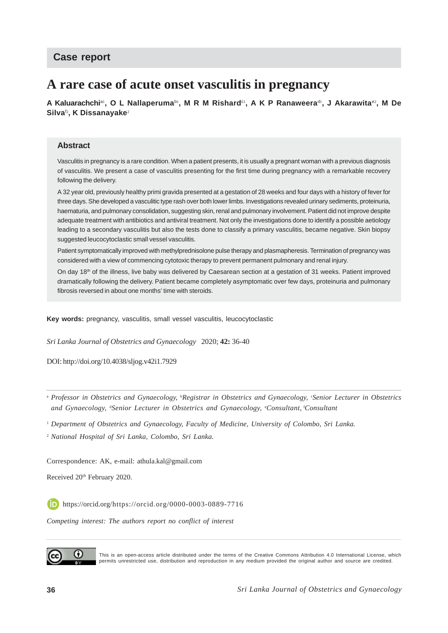## **Case report**

# **A rare case of acute onset vasculitis in pregnancy**

 $\bm{\mathsf{A}}$  Kaluarachchi<sup>ai</sup>, O L Nallaperuma<sup>bi</sup>, M R M Rishard<sup>ei</sup>, A K P Ranaweera<sup>di</sup>, J Akarawita<sup>e2</sup>, M De **Silva**<sup>f</sup><sup>2</sup> **, K Dissanayake**<sup>2</sup>

#### **Abstract**

Vasculitis in pregnancy is a rare condition. When a patient presents, it is usually a pregnant woman with a previous diagnosis of vasculitis. We present a case of vasculitis presenting for the first time during pregnancy with a remarkable recovery following the delivery.

A 32 year old, previously healthy primi gravida presented at a gestation of 28 weeks and four days with a history of fever for three days. She developed a vasculitic type rash over both lower limbs. Investigations revealed urinary sediments, proteinuria, haematuria, and pulmonary consolidation, suggesting skin, renal and pulmonary involvement. Patient did not improve despite adequate treatment with antibiotics and antiviral treatment. Not only the investigations done to identify a possible aetiology leading to a secondary vasculitis but also the tests done to classify a primary vasculitis, became negative. Skin biopsy suggested leucocytoclastic small vessel vasculitis.

Patient symptomatically improved with methylprednisolone pulse therapy and plasmapheresis. Termination of pregnancy was considered with a view of commencing cytotoxic therapy to prevent permanent pulmonary and renal injury.

On day 18<sup>th</sup> of the illness, live baby was delivered by Caesarean section at a gestation of 31 weeks. Patient improved dramatically following the delivery. Patient became completely asymptomatic over few days, proteinuria and pulmonary fibrosis reversed in about one months' time with steroids.

**Key words:** pregnancy, vasculitis, small vessel vasculitis, leucocytoclastic

*Sri Lanka Journal of Obstetrics and Gynaecology* 2020; **42:** 36-40

DOI: http://doi.org/10.4038/sljog.v42i1.7929

<sup>a</sup> *Professor in Obstetrics and Gynaecology,* <sup>b</sup> *Registrar in Obstetrics and Gynaecology,* <sup>c</sup> *Senior Lecturer in Obstetrics and Gynaecology,* <sup>d</sup> *Senior Lecturer in Obstetrics and Gynaecology,* <sup>e</sup> *Consultant,* f*Consultant*

<sup>1</sup> *Department of Obstetrics and Gynaecology, Faculty of Medicine, University of Colombo, Sri Lanka.*

<sup>2</sup> *National Hospital of Sri Lanka, Colombo, Sri Lanka.*

Correspondence: AK, e-mail: athula.kal@gmail.com

Received 20<sup>th</sup> February 2020.

https://orcid.org/https://orcid.org/0000-0003-0889-7716

*Competing interest: The authors report no conflict of interest*



This is an open-access article distributed under the terms of the Creative Commons Attribution 4.0 International License, which permits unrestricted use, distribution and reproduction in any medium provided the original author and source are credited.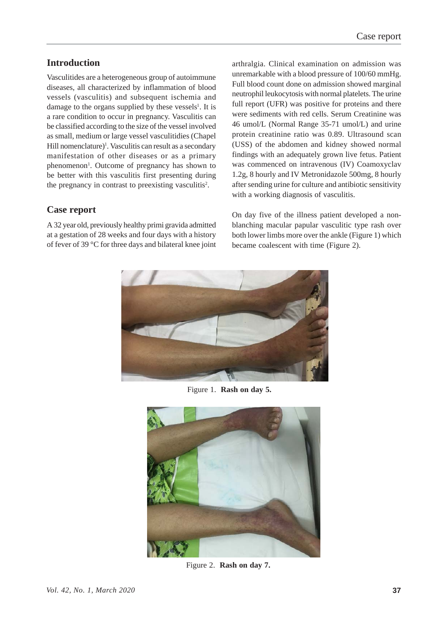### **Introduction**

Vasculitides are a heterogeneous group of autoimmune diseases, all characterized by inflammation of blood vessels (vasculitis) and subsequent ischemia and damage to the organs supplied by these vessels<sup>1</sup>. It is a rare condition to occur in pregnancy. Vasculitis can be classified according to the size of the vessel involved as small, medium or large vessel vasculitidies (Chapel Hill nomenclature)<sup>1</sup>. Vasculitis can result as a secondary manifestation of other diseases or as a primary phenomenon<sup>1</sup>. Outcome of pregnancy has shown to be better with this vasculitis first presenting during the pregnancy in contrast to preexisting vasculitis<sup>2</sup>.

#### **Case report**

A 32 year old, previously healthy primi gravida admitted at a gestation of 28 weeks and four days with a history of fever of 39 °C for three days and bilateral knee joint arthralgia. Clinical examination on admission was unremarkable with a blood pressure of 100/60 mmHg. Full blood count done on admission showed marginal neutrophil leukocytosis with normal platelets. The urine full report (UFR) was positive for proteins and there were sediments with red cells. Serum Creatinine was 46 umol/L (Normal Range 35-71 umol/L) and urine protein creatinine ratio was 0.89. Ultrasound scan (USS) of the abdomen and kidney showed normal findings with an adequately grown live fetus. Patient was commenced on intravenous (IV) Coamoxyclav 1.2g, 8 hourly and IV Metronidazole 500mg, 8 hourly after sending urine for culture and antibiotic sensitivity with a working diagnosis of vasculitis.

On day five of the illness patient developed a nonblanching macular papular vasculitic type rash over both lower limbs more over the ankle (Figure 1) which became coalescent with time (Figure 2).



Figure 1. **Rash on day 5.**



Figure 2. **Rash on day 7.**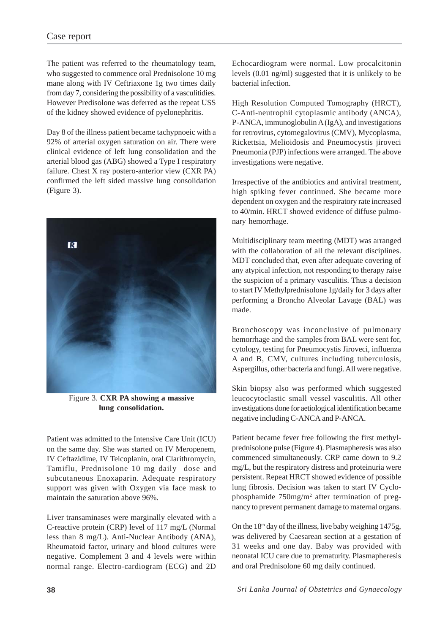The patient was referred to the rheumatology team, who suggested to commence oral Prednisolone 10 mg mane along with IV Ceftriaxone 1g two times daily from day 7, considering the possibility of a vasculitidies. However Predisolone was deferred as the repeat USS of the kidney showed evidence of pyelonephritis.

Day 8 of the illness patient became tachypnoeic with a 92% of arterial oxygen saturation on air. There were clinical evidence of left lung consolidation and the arterial blood gas (ABG) showed a Type I respiratory failure. Chest X ray postero-anterior view (CXR PA) confirmed the left sided massive lung consolidation (Figure 3).



Figure 3. **CXR PA showing a massive lung consolidation.**

Patient was admitted to the Intensive Care Unit (ICU) on the same day. She was started on IV Meropenem, IV Ceftazidime, IV Teicoplanin, oral Clarithromycin, Tamiflu, Prednisolone 10 mg daily dose and subcutaneous Enoxaparin. Adequate respiratory support was given with Oxygen via face mask to maintain the saturation above 96%.

Liver transaminases were marginally elevated with a C-reactive protein (CRP) level of 117 mg/L (Normal less than 8 mg/L). Anti-Nuclear Antibody (ANA), Rheumatoid factor, urinary and blood cultures were negative. Complement 3 and 4 levels were within normal range. Electro-cardiogram (ECG) and 2D

Echocardiogram were normal. Low procalcitonin levels (0.01 ng/ml) suggested that it is unlikely to be bacterial infection.

High Resolution Computed Tomography (HRCT), C-Anti-neutrophil cytoplasmic antibody (ANCA), P-ANCA, immunoglobulin A (IgA), and investigations for retrovirus, cytomegalovirus (CMV), Mycoplasma, Rickettsia, Melioidosis and Pneumocystis jiroveci Pneumonia (PJP) infections were arranged. The above investigations were negative.

Irrespective of the antibiotics and antiviral treatment, high spiking fever continued. She became more dependent on oxygen and the respiratory rate increased to 40/min. HRCT showed evidence of diffuse pulmonary hemorrhage.

Multidisciplinary team meeting (MDT) was arranged with the collaboration of all the relevant disciplines. MDT concluded that, even after adequate covering of any atypical infection, not responding to therapy raise the suspicion of a primary vasculitis. Thus a decision to start IV Methylprednisolone 1g/daily for 3 days after performing a Broncho Alveolar Lavage (BAL) was made.

Bronchoscopy was inconclusive of pulmonary hemorrhage and the samples from BAL were sent for, cytology, testing for Pneumocystis Jiroveci, influenza A and B, CMV, cultures including tuberculosis, Aspergillus, other bacteria and fungi. All were negative.

Skin biopsy also was performed which suggested leucocytoclastic small vessel vasculitis. All other investigations done for aetiological identification became negative including C-ANCA and P-ANCA.

Patient became fever free following the first methylprednisolone pulse (Figure 4). Plasmapheresis was also commenced simultaneously. CRP came down to 9.2 mg/L, but the respiratory distress and proteinuria were persistent. Repeat HRCT showed evidence of possible lung fibrosis. Decision was taken to start IV Cyclophosphamide 750mg/m2 after termination of pregnancy to prevent permanent damage to maternal organs.

On the  $18<sup>th</sup>$  day of the illness, live baby weighing 1475g, was delivered by Caesarean section at a gestation of 31 weeks and one day. Baby was provided with neonatal ICU care due to prematurity. Plasmapheresis and oral Prednisolone 60 mg daily continued.

**38** *Sri Lanka Journal of Obstetrics and Gynaecology*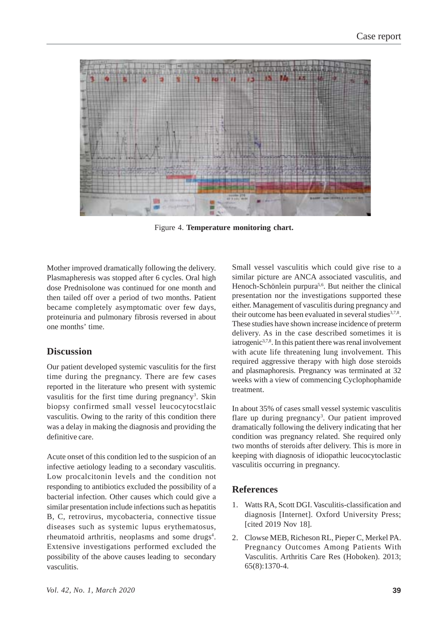

Figure 4. **Temperature monitoring chart.**

Mother improved dramatically following the delivery. Plasmapheresis was stopped after 6 cycles. Oral high dose Prednisolone was continued for one month and then tailed off over a period of two months. Patient became completely asymptomatic over few days, proteinuria and pulmonary fibrosis reversed in about one months' time.

# **Discussion**

Our patient developed systemic vasculitis for the first time during the pregnancy. There are few cases reported in the literature who present with systemic vasulitis for the first time during pregnancy<sup>3</sup>. Skin biopsy confirmed small vessel leucocytocstlaic vasculitis. Owing to the rarity of this condition there was a delay in making the diagnosis and providing the definitive care.

Acute onset of this condition led to the suspicion of an infective aetiology leading to a secondary vasculitis. Low procalcitonin levels and the condition not responding to antibiotics excluded the possibility of a bacterial infection. Other causes which could give a similar presentation include infections such as hepatitis B, C, retrovirus, mycobacteria, connective tissue diseases such as systemic lupus erythematosus, rheumatoid arthritis, neoplasms and some drugs<sup>4</sup>. Extensive investigations performed excluded the possibility of the above causes leading to secondary vasculitis.

Small vessel vasculitis which could give rise to a similar picture are ANCA associated vasculitis, and Henoch-Schönlein purpura<sup>5,6</sup>. But neither the clinical presentation nor the investigations supported these either. Management of vasculitis during pregnancy and their outcome has been evaluated in several studies  $3,7,8$ . These studies have shown increase incidence of preterm delivery. As in the case described sometimes it is iatrogenic<sup>3,7,8</sup>. In this patient there was renal involvement with acute life threatening lung involvement. This required aggressive therapy with high dose steroids and plasmaphoresis. Pregnancy was terminated at 32 weeks with a view of commencing Cyclophophamide treatment.

In about 35% of cases small vessel systemic vasculitis flare up during pregnancy<sup>3</sup>. Our patient improved dramatically following the delivery indicating that her condition was pregnancy related. She required only two months of steroids after delivery. This is more in keeping with diagnosis of idiopathic leucocytoclastic vasculitis occurring in pregnancy.

# **References**

- 1. Watts RA, Scott DGI. Vasculitis-classification and diagnosis [Internet]. Oxford University Press; [cited 2019 Nov 18].
- 2. Clowse MEB, Richeson RL, Pieper C, Merkel PA. Pregnancy Outcomes Among Patients With Vasculitis. Arthritis Care Res (Hoboken). 2013; 65(8):1370-4.